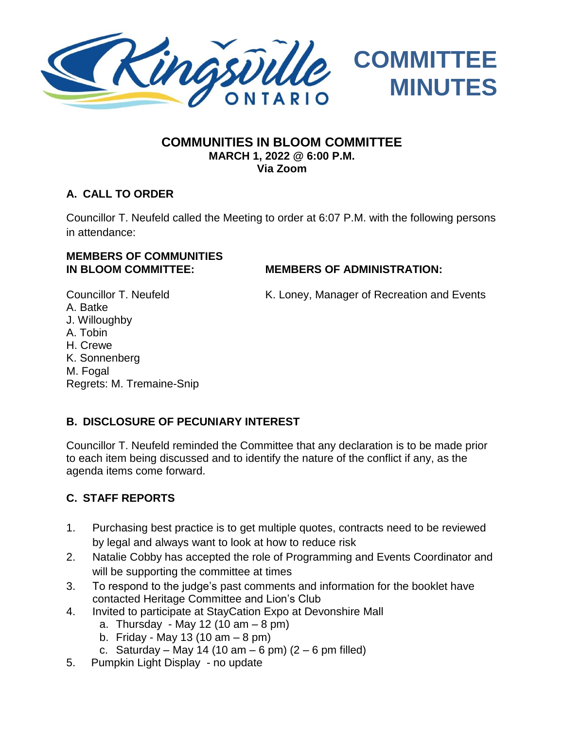

#### **COMMUNITIES IN BLOOM COMMITTEE MARCH 1, 2022 @ 6:00 P.M. Via Zoom**

## **A. CALL TO ORDER**

Councillor T. Neufeld called the Meeting to order at 6:07 P.M. with the following persons in attendance:

# **MEMBERS OF COMMUNITIES**

### **IN BLOOM COMMITTEE: MEMBERS OF ADMINISTRATION:**

A. Batke J. Willoughby A. Tobin H. Crewe K. Sonnenberg M. Fogal Regrets: M. Tremaine-Snip

Councillor T. Neufeld K. Loney, Manager of Recreation and Events

## **B. DISCLOSURE OF PECUNIARY INTEREST**

Councillor T. Neufeld reminded the Committee that any declaration is to be made prior to each item being discussed and to identify the nature of the conflict if any, as the agenda items come forward.

## **C. STAFF REPORTS**

- 1. Purchasing best practice is to get multiple quotes, contracts need to be reviewed by legal and always want to look at how to reduce risk
- 2. Natalie Cobby has accepted the role of Programming and Events Coordinator and will be supporting the committee at times
- 3. To respond to the judge's past comments and information for the booklet have contacted Heritage Committee and Lion's Club
- 4. Invited to participate at StayCation Expo at Devonshire Mall
	- a. Thursday May 12 (10  $am 8$  pm)
	- b. Friday May 13 (10  $am 8$  pm)
	- c. Saturday May 14 (10 am 6 pm)  $(2 6$  pm filled)
- 5. Pumpkin Light Display no update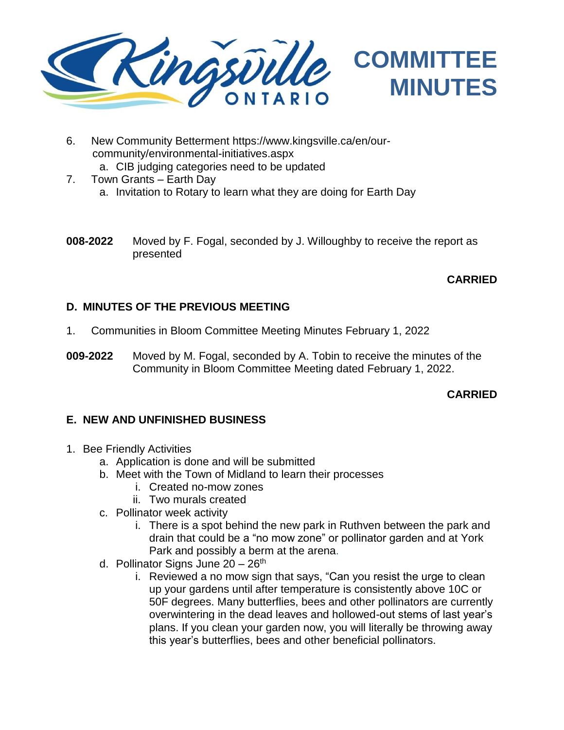

- 6. New Community Betterment [https://www.kingsville.ca/en/our](https://www.kingsville.ca/en/our-community/environmental-initiatives.aspx)[community/environmental-initiatives.aspx](https://www.kingsville.ca/en/our-community/environmental-initiatives.aspx)
	- a. CIB judging categories need to be updated
- 7. Town Grants Earth Day a. Invitation to Rotary to learn what they are doing for Earth Day
- **008-2022** Moved by F. Fogal, seconded by J. Willoughby to receive the report as presented

## **CARRIED**

#### **D. MINUTES OF THE PREVIOUS MEETING**

- 1. Communities in Bloom Committee Meeting Minutes February 1, 2022
- **009-2022** Moved by M. Fogal, seconded by A. Tobin to receive the minutes of the Community in Bloom Committee Meeting dated February 1, 2022.

#### **CARRIED**

#### **E. NEW AND UNFINISHED BUSINESS**

- 1. Bee Friendly Activities
	- a. Application is done and will be submitted
	- b. Meet with the Town of Midland to learn their processes
		- i. Created no-mow zones
		- ii. Two murals created
	- c. Pollinator week activity
		- i. There is a spot behind the new park in Ruthven between the park and drain that could be a "no mow zone" or pollinator garden and at York Park and possibly a berm at the arena.
	- d. Pollinator Signs June  $20 26$ <sup>th</sup>
		- i. Reviewed a no mow sign that says, "Can you resist the urge to clean up your gardens until after temperature is consistently above 10C or 50F degrees. Many butterflies, bees and other pollinators are currently overwintering in the dead leaves and hollowed-out stems of last year's plans. If you clean your garden now, you will literally be throwing away this year's butterflies, bees and other beneficial pollinators.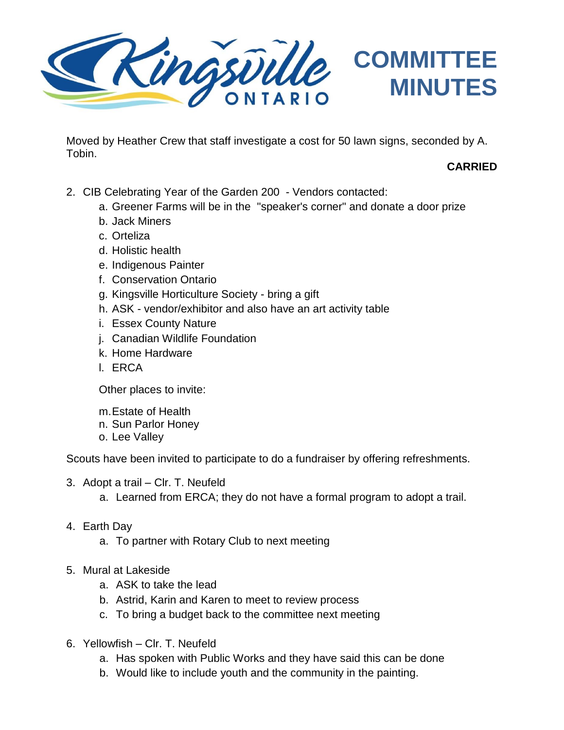

Moved by Heather Crew that staff investigate a cost for 50 lawn signs, seconded by A. Tobin.

## **CARRIED**

- 2. CIB Celebrating Year of the Garden 200 Vendors contacted:
	- a. Greener Farms will be in the "speaker's corner" and donate a door prize
	- b. Jack Miners
	- c. Orteliza
	- d. Holistic health
	- e. Indigenous Painter
	- f. Conservation Ontario
	- g. Kingsville Horticulture Society bring a gift
	- h. ASK vendor/exhibitor and also have an art activity table
	- i. Essex County Nature
	- j. Canadian Wildlife Foundation
	- k. Home Hardware
	- l. ERCA

Other places to invite:

- m.Estate of Health
- n. Sun Parlor Honey
- o. Lee Valley

Scouts have been invited to participate to do a fundraiser by offering refreshments.

- 3. Adopt a trail Clr. T. Neufeld
	- a. Learned from ERCA; they do not have a formal program to adopt a trail.
- 4. Earth Day
	- a. To partner with Rotary Club to next meeting
- 5. Mural at Lakeside
	- a. ASK to take the lead
	- b. Astrid, Karin and Karen to meet to review process
	- c. To bring a budget back to the committee next meeting
- 6. Yellowfish Clr. T. Neufeld
	- a. Has spoken with Public Works and they have said this can be done
	- b. Would like to include youth and the community in the painting.